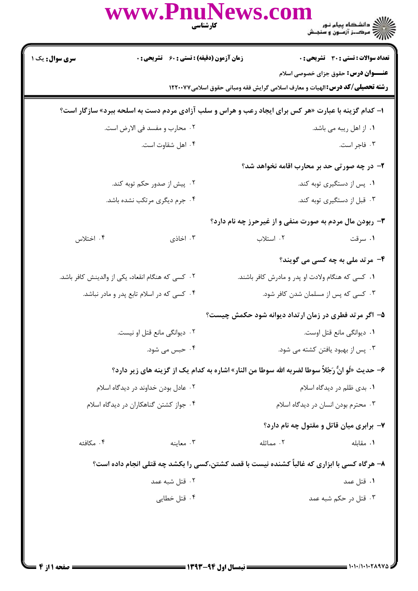|                                                   |                                             | www.PnuNews.com<br>كارشناسي                                                                         | ع / / دانشگاه پیام نور<br>- / / دانشگاه پیام نور<br>- / / / مرکبز آزمبون و سنجـش |
|---------------------------------------------------|---------------------------------------------|-----------------------------------------------------------------------------------------------------|----------------------------------------------------------------------------------|
| <b>سری سوال :</b> یک ۱                            | زمان آزمون (دقیقه) : تستی : 60 ٪ تشریحی : 0 |                                                                                                     | تعداد سوالات : تستي : 30 ٪ تشريحي : 0                                            |
|                                                   |                                             | <b>رشته تحصیلی/کد درس: ا</b> لهیات و معارف اسلامی گرایش فقه ومبانی حقوق اسلامی۱۲۲۰۰۷۷               | <b>عنــــوان درس:</b> حقوق جزای خصوصی اسلام                                      |
|                                                   |                                             | ا- کدام گزینه با عبارت «هر کس برای ایجاد رعب و هراس و سلب آزادی مردم دست به اسلحه ببرد» سازگار است؟ |                                                                                  |
| ۰۲ محارب و مفسد فی الارض است.                     |                                             |                                                                                                     | ۰۱ از اهل ریبه می باشد.                                                          |
|                                                   | ۰۴ اهل شقاوت است.                           |                                                                                                     | ۰۳ فاجر است.                                                                     |
|                                                   |                                             |                                                                                                     | ۲- در چه صورتی حد بر محارب اقامه نخواهد شد؟                                      |
| ۰۲ پیش از صدور حکم توبه کند.                      |                                             | ۰۱ پس از دستگیری توبه کند.                                                                          |                                                                                  |
| ۰۴ جرم دیگری مرتکب نشده باشد.                     |                                             | ۰۳ قبل از دستگیری توبه کند.                                                                         |                                                                                  |
|                                                   |                                             | <b>۳</b> - ربودن مال مردم به صورت منفی و از غیرحرز چه نام دارد؟                                     |                                                                                  |
| ۰۴ اختلاس                                         | ۰۳ اخاذی                                    | ۰۲ استلاب                                                                                           | ۰۱ سرقت                                                                          |
|                                                   |                                             |                                                                                                     | ۴- مرتد ملی به چه کسی می گویند؟                                                  |
| ۰۲ کسی که هنگام انقعاد، یکی از والدینش کافر باشد. |                                             | ۰۱ کسی که هنگام ولادت او پدر و مادرش کافر باشند.                                                    |                                                                                  |
|                                                   | ۰۴ کسی که در اسلام تابع پدر و مادر نباشد.   |                                                                                                     | ۰۳ کسی که پس از مسلمان شدن کافر شود.                                             |
|                                                   |                                             | ۵- اگر مرتد فطری در زمان ارتداد دیوانه شود حکمش چیست؟                                               |                                                                                  |
|                                                   | ۰۲ دیوانگی مانع قتل او نیست.                | ٠١ ديوانگي مانع قتل اوست.                                                                           |                                                                                  |
| ۰۴ حبس می شود.                                    |                                             | ۰۳ پس از بهبود یافتن کشته می شود.                                                                   |                                                                                  |
|                                                   |                                             | ۶– حديث «لَو انٌّ رَجُلاً سوطا لضربه الله سوطا من النار» اشاره به كدام يک از گزينه هاي زير دارد؟    |                                                                                  |
|                                                   | ۰۲ عادل بودن خداوند در دیدگاه اسلام         | ۰۱ بدی ظلم در دیدگاه اسلام                                                                          |                                                                                  |
|                                                   | ۰۴ جواز کشتن گناهکاران در دیدگاه اسلام      | ۰۳ محترم بودن انسان در دیدگاه اسلام                                                                 |                                                                                  |
|                                                   |                                             |                                                                                                     | ۷- برابری میان قاتل و مقتول چه نام دارد؟                                         |
| ۰۴ مکافئه                                         | ۰۳ معاينه                                   | ۰۲ مماثله                                                                                           | ۰۱ مقابله                                                                        |
|                                                   |                                             | ۸– هرگاه کسی با ابزاری که غالباً کشنده نیست با قصد کشتن،کسی را بکشد چه قتلی انجام داده است؟         |                                                                                  |
|                                                   | ۰۲ قتل شبه عمد                              |                                                                                                     | ۰۱ قتل عمد                                                                       |
|                                                   | ۰۴ قتل خطایی                                |                                                                                                     | ۰۳ قتل در حکم شبه عمد                                                            |
|                                                   |                                             |                                                                                                     |                                                                                  |
|                                                   |                                             |                                                                                                     |                                                                                  |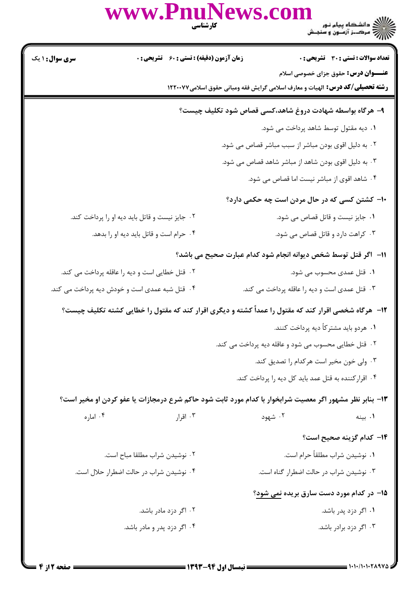|                        | www.PnuNews.com<br>كارشناسي                    | ے :<br>حکالات دانشگاہ پیام نور<br>حکالات مرکبز آزمنوں و سنجش                                                                       |
|------------------------|------------------------------------------------|------------------------------------------------------------------------------------------------------------------------------------|
| <b>سری سوال : ۱ یک</b> | زمان آزمون (دقیقه) : تستی : 60 ٪ تشریحی : 0    | تعداد سوالات : تستى : 30 ٪ تشريحي : 0                                                                                              |
|                        |                                                | <b>عنـــوان درس:</b> حقوق جزای خصوصی اسلام<br><b>رشته تحصیلی/گد درس:</b> الهیات و معارف اسلامی گرایش فقه ومبانی حقوق اسلامی۱۲۲۰۰۷۷ |
|                        |                                                | ۹– هرگاه بواسطه شهادت دروغ شاهد،کسی قصاص شود تکلیف چیست؟                                                                           |
|                        |                                                | ۰۱ دیه مقتول توسط شاهد پرداخت می شود.                                                                                              |
|                        |                                                | ۰۲ به دلیل اقوی بودن مباشر از سبب مباشر قصاص می شود.                                                                               |
|                        |                                                | ۰۳ به دلیل اقوی بودن شاهد از مباشر شاهد قصاص می شود.                                                                               |
|                        |                                                | ۰۴ شاهد اقوی از مباشر نیست اما قصاص می شود.                                                                                        |
|                        |                                                | ۱۰– کشتن کسی که در حال مردن است چه حکمی دارد؟                                                                                      |
|                        | ۰۲ جایز نیست و قاتل باید دیه او را پرداخت کند. | ۰۱ جایز نیست و قاتل قصاص می شود.                                                                                                   |
|                        | ۰۴ حرام است و قاتل باید دیه او را بدهد.        | ۰۳ کراهت دارد و قاتل قصاص می شود.                                                                                                  |
|                        |                                                | 11–  اگر قتل توسط شخص دیوانه انجام شود کدام عبارت صحیح می باشد؟                                                                    |
|                        | ۰۲ قتل خطایی است و دیه را عاقله پرداخت می کند. | ۰۱ قتل عمدی محسوب می شود.                                                                                                          |
|                        | ۰۴ قتل شبه عمدی است و خودش دیه پرداخت می کند.  | ۰۳ قتل عمدی است و دیه را عاقله پرداخت می کند.                                                                                      |
|                        |                                                | ۱۲- هرگاه شخصی اقرار کند که مقتول را عمداً کشته و دیگری اقرار کند که مقتول را خطایی کشته تکلیف چیست؟                               |
|                        |                                                | ۰۱ هردو باید مشترکاً دیه پرداخت کنند.                                                                                              |
|                        |                                                | ۰۲ قتل خطایی محسوب می شود و عاقله دیه پرداخت می کند.                                                                               |
|                        |                                                | ۰۳ ولی خون مخیر است هر کدام را تصدیق کند.                                                                                          |
|                        |                                                | ۰۴ اقرار کننده به قتل عمد باید کل دیه را پرداخت کند.                                                                               |
|                        |                                                | ۱۳- بنابر نظر مشهور اگر معصیت شرابخوار با کدام مورد ثابت شود حاکم شرع درمجازات یا عفو کردن او مخیر است؟                            |
| ۰۴ اماره               | ۰۳ اقرار                                       | ۰۲ شهود<br>۰۱ بينه                                                                                                                 |
|                        |                                                | ۱۴– کدام گزینه صحیح است؟                                                                                                           |
|                        | ۰۲ نوشیدن شراب مطلقا مباح است.                 | ٠١ نوشيدن شراب مطلقاً حرام است.                                                                                                    |
|                        | ۰۴ نوشیدن شراب در حالت اضطرار حلال است.        | ۰۳ نوشیدن شراب در حالت اضطرار گناه است.                                                                                            |
|                        |                                                | 1۵– در کدام مورد دست سارق بریده نمی شود؟                                                                                           |
|                        | ۰۲ اگر دزد مادر باشد.                          | ۱. اگر دزد پدر باشد.                                                                                                               |

۰۴ اگر دزد پدر و مادر باشد. ۰۳ اگر دزد برادر باشد.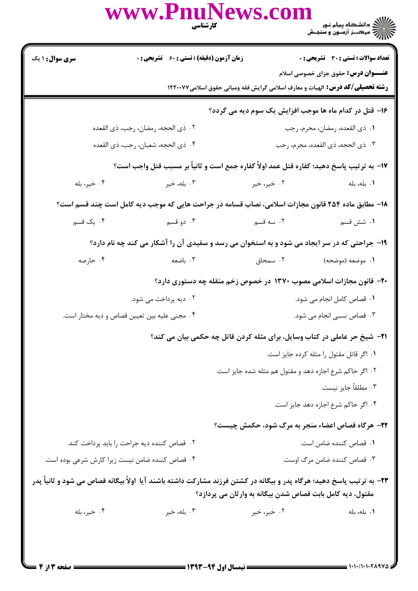|                                                                                                                                                                                    | www.PnuNews.com<br>كارشناسي                                                                        |                            | ے :<br>کا اللہ دانشگاہ پیام نور<br>کا اللہ مرکبز آزمون و سنجش                                                                      |  |
|------------------------------------------------------------------------------------------------------------------------------------------------------------------------------------|----------------------------------------------------------------------------------------------------|----------------------------|------------------------------------------------------------------------------------------------------------------------------------|--|
| <b>سری سوال : ۱ یک</b>                                                                                                                                                             | <b>زمان آزمون (دقیقه) : تستی : 60 ٪ تشریحی : 0</b>                                                 |                            | <b>تعداد سوالات : تستی : 30 ٪ تشریحی : 0</b>                                                                                       |  |
|                                                                                                                                                                                    |                                                                                                    |                            | <b>عنـــوان درس:</b> حقوق جزای خصوصی اسلام<br><b>رشته تحصیلی/کد درس:</b> الهیات و معارف اسلامی گرایش فقه ومبانی حقوق اسلامی۱۲۲۰۰۷۷ |  |
|                                                                                                                                                                                    |                                                                                                    |                            | ۱۶- قتل در کدام ماه ها موجب افزایش یک سوم دیه می گردد؟                                                                             |  |
|                                                                                                                                                                                    | ٠٢ ذي الحجه، رمضان، رجب، ذي القعده                                                                 |                            | ٠١ ذي القعده، رمضان، محرم، رجب                                                                                                     |  |
|                                                                                                                                                                                    | ۰۴ ذي الحجه، شعبان، رجب، ذي القعده                                                                 |                            | ٠٣ ذي الحجه، ذي القعده، محرم، رجب                                                                                                  |  |
|                                                                                                                                                                                    | 17– به ترتيب پاسخ دهيد؛ كفاره قتل عمد اولاً كفاره جمع است و ثانياً بر مسبب قتل واجب است؟           |                            |                                                                                                                                    |  |
| ۰۴ خير، بله                                                                                                                                                                        | ۲. خیر، خیر سیست سال ۲. بله، خیر                                                                   |                            | ٠١. بله، بله                                                                                                                       |  |
|                                                                                                                                                                                    | ۱۸– مطابق ماده ۲۵۴ قانون مجازات اسلامی، نصاب قسامه در جراحت هایی که موجب دیه کامل است چند قسم است؟ |                            |                                                                                                                                    |  |
| ۰۴ یک قسم                                                                                                                                                                          | ۰۳ دو قسم                                                                                          | ۰۲ سه قسم                  | ١. شش قسم                                                                                                                          |  |
|                                                                                                                                                                                    | ۱۹- جراحتی که در سر ایجاد می شود و به استخوان می رسد و سفیدی آن را آشکار می کند چه نام دارد؟       |                            |                                                                                                                                    |  |
| ۰۴ حارصه                                                                                                                                                                           |                                                                                                    |                            |                                                                                                                                    |  |
|                                                                                                                                                                                    | +۲- قانون مجازات اسلامی مصوب ۱۳۷۰ در خصوص زخم منقله چه دستوری دارد؟                                |                            |                                                                                                                                    |  |
|                                                                                                                                                                                    | ۰۲ دیه پرداخت می شود.                                                                              |                            | ۰۱ قصاص کامل انجام می شود.                                                                                                         |  |
|                                                                                                                                                                                    | ۰۴ مجنی علیه بین تعیین قصاص و دیه مختار است.                                                       | ۰۳ قصاص نسبی انجام می شود. |                                                                                                                                    |  |
|                                                                                                                                                                                    | <b>۲۱</b> - شیخ حر عاملی در کتاب وسایل، برای مثله کردن قاتل چه حکمی بیان می کند؟                   |                            |                                                                                                                                    |  |
| ٠١ اگر قاتل مقتول را مثله كرده جايز است.                                                                                                                                           |                                                                                                    |                            |                                                                                                                                    |  |
| ۲. اگر حاکم شرع اجازه دهد و مقتول هم مثله شده جایز است.                                                                                                                            |                                                                                                    |                            |                                                                                                                                    |  |
|                                                                                                                                                                                    |                                                                                                    |                            | ۰۳ مطلقاً جايز نيست.                                                                                                               |  |
|                                                                                                                                                                                    |                                                                                                    |                            | ۰۴ اگر حاکم شرع اجازه دهد جایز است.                                                                                                |  |
|                                                                                                                                                                                    |                                                                                                    |                            | ۲۲- هرگاه قصاص اعضاء منجر به مرگ شود، حکمش چیست؟                                                                                   |  |
| ۰۲ قصاص کننده دیه جراحت را باید پرداخت کند.                                                                                                                                        |                                                                                                    |                            | ٠١. قصاص كننده ضامن است.                                                                                                           |  |
| ۰۳ قصاص کننده ضامن مرگ اوست.<br>۰۴ قصاص کننده ضامن نیست زیرا کارش شرعی بوده است.                                                                                                   |                                                                                                    |                            |                                                                                                                                    |  |
| ۲۳– به ترتیب پاسخ دهید؛ هرگاه پدر و بیگانه در کشتن فرزند مشارکت داشته باشند آیا اولاً بیگانه قصاص می شود و ثانیاً پدر<br>مقتول، دیه کامل بابت قصاص شدن بیگانه به وارثان می پردازد؟ |                                                                                                    |                            |                                                                                                                                    |  |
| ۰۴ خير، بله                                                                                                                                                                        | ۰۳ بله، خير                                                                                        | ۰۲ خیر، خیر                | ٠١. بله، بله                                                                                                                       |  |
|                                                                                                                                                                                    |                                                                                                    |                            |                                                                                                                                    |  |